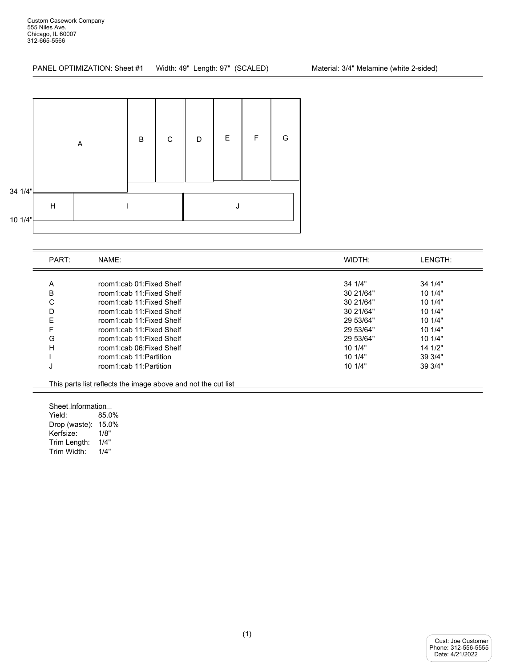<u> Albanya (Albanya)</u>

PANEL OPTIMIZATION: Sheet #1 Width: 49" Length: 97" (SCALED) Material: 3/4" Melamine (white 2-sided)



| PART: | NAME:                    | WIDTH:    | LENGTH: |
|-------|--------------------------|-----------|---------|
|       |                          |           |         |
| A     | room1:cab 01:Fixed Shelf | 341/4"    | 34 1/4" |
| B     | room1:cab 11:Fixed Shelf | 30 21/64" | 101/4"  |
| С     | room1:cab 11:Fixed Shelf | 30 21/64" | 10 1/4" |
| D     | room1:cab 11:Fixed Shelf | 30 21/64" | 101/4"  |
| Ε     | room1:cab 11:Fixed Shelf | 29 53/64" | 101/4"  |
| F     | room1:cab 11:Fixed Shelf | 29 53/64" | 101/4"  |
| G     | room1:cab 11:Fixed Shelf | 29 53/64" | 101/4"  |
| н     | room1:cab 06:Fixed Shelf | 101/4"    | 14 1/2" |
|       | room1:cab 11:Partition   | 101/4"    | 39 3/4" |
| J     | room1:cab 11:Partition   | 10 1/4"   | 39 3/4" |

Sheet Information<br>Yield: 85.0

85.0% Drop (waste): 15.0% Kerfsize: 1/8" Trim Length: 1/4" Trim Width: 1/4"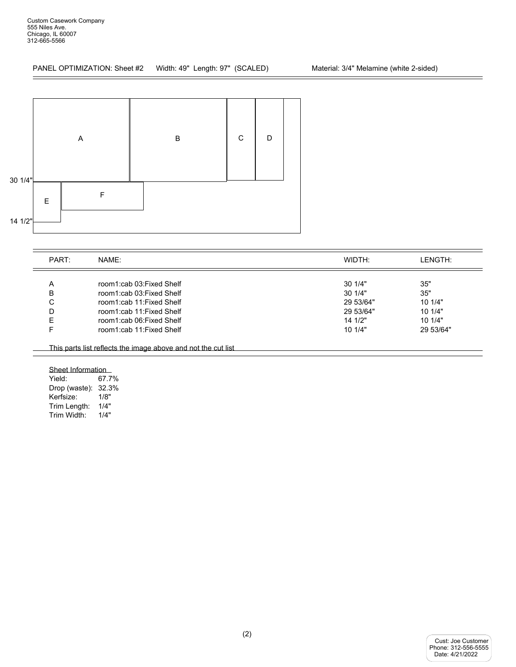<u> The Communication of the Communication</u>



| PART: | NAME:                    | WIDTH:    | LENGTH:   |
|-------|--------------------------|-----------|-----------|
| A     | room1:cab 03:Fixed Shelf | 301/4"    | 35"       |
| B     | room1:cab 03:Fixed Shelf | 301/4"    | 35"       |
| C     | room1:cab 11:Fixed Shelf | 29 53/64" | 101/4"    |
| D     | room1:cab 11:Fixed Shelf | 29 53/64" | 101/4"    |
| F     | room1:cab 06:Fixed Shelf | 14 1/2"   | 101/4"    |
|       | room1:cab 11:Fixed Shelf | 101/4"    | 29 53/64" |

Sheet Information<br>Yield: 67.7 67.7% Drop (waste): 32.3% Kerfsize: 1/8" Trim Length: 1/4"<br>Trim Width: 1/4" Trim Width: